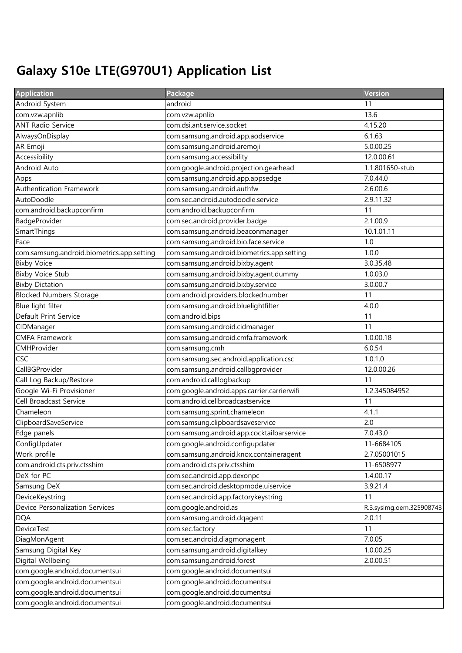## Galaxy S10e LTE(G970U1) Application List

| <b>Application</b>                         | Package                                     | <b>Version</b>           |
|--------------------------------------------|---------------------------------------------|--------------------------|
| Android System                             | android                                     | 11                       |
| com.vzw.apnlib                             | com.vzw.apnlib                              | 13.6                     |
| <b>ANT Radio Service</b>                   | com.dsi.ant.service.socket                  | 4.15.20                  |
| AlwaysOnDisplay                            | com.samsung.android.app.aodservice          | 6.1.63                   |
| AR Emoji                                   | com.samsung.android.aremoji                 | 5.0.00.25                |
| Accessibility                              | com.samsung.accessibility                   | 12.0.00.61               |
| Android Auto                               | com.google.android.projection.gearhead      | 1.1.801650-stub          |
| Apps                                       | com.samsung.android.app.appsedge            | 7.0.44.0                 |
| Authentication Framework                   | com.samsung.android.authfw                  | 2.6.00.6                 |
| AutoDoodle                                 | com.sec.android.autodoodle.service          | 2.9.11.32                |
| com.android.backupconfirm                  | com.android.backupconfirm                   | 11                       |
| BadgeProvider                              | com.sec.android.provider.badge              | 2.1.00.9                 |
| SmartThings                                | com.samsung.android.beaconmanager           | 10.1.01.11               |
| Face                                       | com.samsung.android.bio.face.service        | 1.0                      |
| com.samsung.android.biometrics.app.setting | com.samsung.android.biometrics.app.setting  | 1.0.0                    |
| <b>Bixby Voice</b>                         | com.samsung.android.bixby.agent             | 3.0.35.48                |
| <b>Bixby Voice Stub</b>                    | com.samsung.android.bixby.agent.dummy       | 1.0.03.0                 |
| <b>Bixby Dictation</b>                     | com.samsung.android.bixby.service           | 3.0.00.7                 |
| <b>Blocked Numbers Storage</b>             | com.android.providers.blockednumber         | 11                       |
| Blue light filter                          | com.samsung.android.bluelightfilter         | 4.0.0                    |
| Default Print Service                      | com.android.bips                            | 11                       |
| CIDManager                                 | com.samsung.android.cidmanager              | 11                       |
| <b>CMFA Framework</b>                      | com.samsung.android.cmfa.framework          | 1.0.00.18                |
| CMHProvider                                | com.samsung.cmh                             | 6.0.54                   |
| CSC                                        | com.samsung.sec.android.application.csc     | 1.0.1.0                  |
| CallBGProvider                             | com.samsung.android.callbgprovider          | 12.0.00.26               |
| Call Log Backup/Restore                    | com.android.calllogbackup                   | 11                       |
| Google Wi-Fi Provisioner                   | com.google.android.apps.carrier.carrierwifi | 1.2.345084952            |
| Cell Broadcast Service                     | com.android.cellbroadcastservice            | 11                       |
| Chameleon                                  | com.samsung.sprint.chameleon                | 4.1.1                    |
| ClipboardSaveService                       | com.samsung.clipboardsaveservice            | 2.0                      |
| Edge panels                                | com.samsung.android.app.cocktailbarservice  | 7.0.43.0                 |
| ConfigUpdater                              | com.google.android.configupdater            | 11-6684105               |
| Work profile                               | com.samsung.android.knox.containeragent     | 2.7.05001015             |
| com.android.cts.priv.ctsshim               | com.android.cts.priv.ctsshim                | 11-6508977               |
| DeX for PC                                 | com.sec.android.app.dexonpc                 | 1.4.00.17                |
| Samsung DeX                                | com.sec.android.desktopmode.uiservice       | 3.9.21.4                 |
| DeviceKeystring                            | com.sec.android.app.factorykeystring        | 11                       |
| Device Personalization Services            | com.google.android.as                       | R.3.sysimg.oem.325908743 |
| <b>DQA</b>                                 | com.samsung.android.dqagent                 | 2.0.11                   |
| <b>DeviceTest</b>                          | com.sec.factory                             | 11                       |
| DiagMonAgent                               | com.sec.android.diagmonagent                | 7.0.05                   |
| Samsung Digital Key                        | com.samsung.android.digitalkey              | 1.0.00.25                |
| Digital Wellbeing                          | com.samsung.android.forest                  | 2.0.00.51                |
| com.google.android.documentsui             | com.google.android.documentsui              |                          |
| com.google.android.documentsui             | com.google.android.documentsui              |                          |
| com.google.android.documentsui             | com.google.android.documentsui              |                          |
| com.google.android.documentsui             | com.google.android.documentsui              |                          |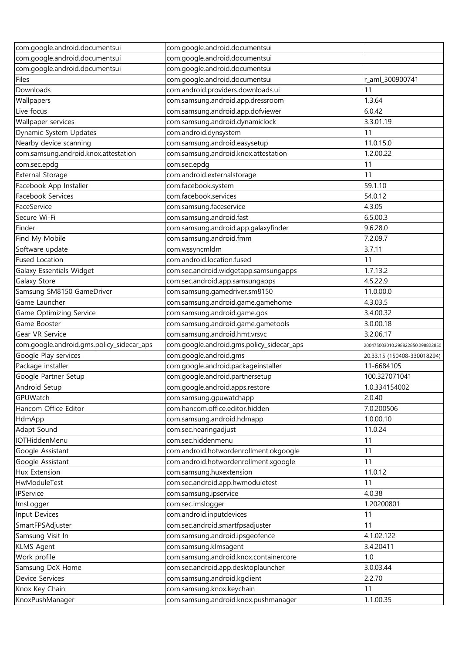| com.google.android.documentsui            | com.google.android.documentsui            |                                  |
|-------------------------------------------|-------------------------------------------|----------------------------------|
| com.google.android.documentsui            | com.google.android.documentsui            |                                  |
| com.google.android.documentsui            | com.google.android.documentsui            |                                  |
| Files                                     | com.google.android.documentsui            | r_aml_300900741                  |
| Downloads                                 | com.android.providers.downloads.ui        | 11                               |
| Wallpapers                                | com.samsung.android.app.dressroom         | 1.3.64                           |
| Live focus                                | com.samsung.android.app.dofviewer         | 6.0.42                           |
| Wallpaper services                        | com.samsung.android.dynamiclock           | 3.3.01.19                        |
| Dynamic System Updates                    | com.android.dynsystem                     | 11                               |
| Nearby device scanning                    | com.samsung.android.easysetup             | 11.0.15.0                        |
| com.samsung.android.knox.attestation      | com.samsung.android.knox.attestation      | 1.2.00.22                        |
| com.sec.epdg                              | com.sec.epdg                              | 11                               |
| <b>External Storage</b>                   | com.android.externalstorage               | 11                               |
| Facebook App Installer                    | com.facebook.system                       | 59.1.10                          |
| Facebook Services                         | com.facebook.services                     | 54.0.12                          |
| FaceService                               | com.samsung.faceservice                   | 4.3.05                           |
| Secure Wi-Fi                              | com.samsung.android.fast                  | 6.5.00.3                         |
| Finder                                    | com.samsung.android.app.galaxyfinder      | 9.6.28.0                         |
| Find My Mobile                            | com.samsung.android.fmm                   | 7.2.09.7                         |
| Software update                           | com.wssyncmldm                            | 3.7.11                           |
| <b>Fused Location</b>                     | com.android.location.fused                | 11                               |
| Galaxy Essentials Widget                  | com.sec.android.widgetapp.samsungapps     | 1.7.13.2                         |
| Galaxy Store                              | com.sec.android.app.samsungapps           | 4.5.22.9                         |
| Samsung SM8150 GameDriver                 | com.samsung.gamedriver.sm8150             | 11.0.00.0                        |
| Game Launcher                             | com.samsung.android.game.gamehome         | 4.3.03.5                         |
| Game Optimizing Service                   | com.samsung.android.game.gos              | 3.4.00.32                        |
| Game Booster                              | com.samsung.android.game.gametools        | 3.0.00.18                        |
| Gear VR Service                           | com.samsung.android.hmt.vrsvc             | 3.2.06.17                        |
| com.google.android.gms.policy_sidecar_aps | com.google.android.gms.policy_sidecar_aps | 200475003010.298822850.298822850 |
| Google Play services                      | com.google.android.gms                    | 20.33.15 (150408-330018294)      |
| Package installer                         | com.google.android.packageinstaller       | 11-6684105                       |
| Google Partner Setup                      | com.google.android.partnersetup           | 100.327071041                    |
| Android Setup                             | com.google.android.apps.restore           | 1.0.334154002                    |
| GPUWatch                                  | com.samsung.gpuwatchapp                   | 2.0.40                           |
| Hancom Office Editor                      | com.hancom.office.editor.hidden           | 7.0.200506                       |
| HdmApp                                    | com.samsung.android.hdmapp                | 1.0.00.10                        |
| Adapt Sound                               | com.sec.hearingadjust                     | 11.0.24                          |
| IOTHiddenMenu                             | com.sec.hiddenmenu                        | 11                               |
| Google Assistant                          | com.android.hotwordenrollment.okgoogle    | 11                               |
| Google Assistant                          | com.android.hotwordenrollment.xgoogle     | 11                               |
| Hux Extension                             | com.samsung.huxextension                  | 11.0.12                          |
| HwModuleTest                              | com.sec.android.app.hwmoduletest          | 11                               |
| IPService                                 | com.samsung.ipservice                     | 4.0.38                           |
| ImsLogger                                 | com.sec.imslogger                         | 1.20200801                       |
| Input Devices                             | com.android.inputdevices                  | 11                               |
| SmartFPSAdjuster                          | com.sec.android.smartfpsadjuster          | 11                               |
| Samsung Visit In                          | com.samsung.android.ipsgeofence           | 4.1.02.122                       |
| <b>KLMS Agent</b>                         | com.samsung.klmsagent                     | 3.4.20411                        |
| Work profile                              | com.samsung.android.knox.containercore    | 1.0                              |
| Samsung DeX Home                          | com.sec.android.app.desktoplauncher       | 3.0.03.44                        |
| Device Services                           | com.samsung.android.kgclient              | 2.2.70                           |
| Knox Key Chain                            | com.samsung.knox.keychain                 | 11                               |
| KnoxPushManager                           | com.samsung.android.knox.pushmanager      | 1.1.00.35                        |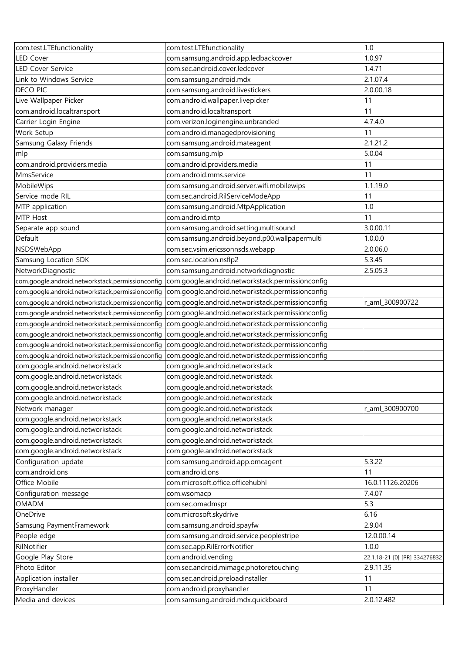| com.test.LTEfunctionality                        | com.test.LTEfunctionality                        | 1.0                           |
|--------------------------------------------------|--------------------------------------------------|-------------------------------|
| <b>LED Cover</b>                                 | com.samsung.android.app.ledbackcover             | 1.0.97                        |
| <b>LED Cover Service</b>                         | com.sec.android.cover.ledcover                   | 1.4.71                        |
| Link to Windows Service                          | com.samsung.android.mdx                          | 2.1.07.4                      |
| <b>DECO PIC</b>                                  | com.samsung.android.livestickers                 | 2.0.00.18                     |
| Live Wallpaper Picker                            | com.android.wallpaper.livepicker                 | 11                            |
| com.android.localtransport                       | com.android.localtransport                       | 11                            |
| Carrier Login Engine                             | com.verizon.loginengine.unbranded                | 4.7.4.0                       |
| Work Setup                                       | com.android.managedprovisioning                  | 11                            |
| Samsung Galaxy Friends                           | com.samsung.android.mateagent                    | 2.1.21.2                      |
| mlp                                              | com.samsung.mlp                                  | 5.0.04                        |
| com.android.providers.media                      | com.android.providers.media                      | 11                            |
| MmsService                                       | com.android.mms.service                          | 11                            |
| MobileWips                                       | com.samsung.android.server.wifi.mobilewips       | 1.1.19.0                      |
| Service mode RIL                                 | com.sec.android.RilServiceModeApp                | 11                            |
| MTP application                                  | com.samsung.android.MtpApplication               | 1.0                           |
| MTP Host                                         | com.android.mtp                                  | 11                            |
| Separate app sound                               | com.samsung.android.setting.multisound           | 3.0.00.11                     |
| Default                                          | com.samsung.android.beyond.p00.wallpapermulti    | 1.0.0.0                       |
| NSDSWebApp                                       | com.sec.vsim.ericssonnsds.webapp                 | 2.0.06.0                      |
|                                                  |                                                  | 5.3.45                        |
| Samsung Location SDK                             | com.sec.location.nsflp2                          |                               |
| NetworkDiagnostic                                | com.samsung.android.networkdiagnostic            | 2.5.05.3                      |
| com.google.android.networkstack.permissionconfig | com.google.android.networkstack.permissionconfig |                               |
| com.google.android.networkstack.permissionconfig | com.google.android.networkstack.permissionconfig |                               |
| com.google.android.networkstack.permissionconfig | com.google.android.networkstack.permissionconfig | r_aml_300900722               |
| com.google.android.networkstack.permissionconfig | com.google.android.networkstack.permissionconfig |                               |
| com.google.android.networkstack.permissionconfig | com.google.android.networkstack.permissionconfig |                               |
| com.google.android.networkstack.permissionconfig | com.google.android.networkstack.permissionconfig |                               |
| com.google.android.networkstack.permissionconfig | com.google.android.networkstack.permissionconfig |                               |
| com.google.android.networkstack.permissionconfig | com.google.android.networkstack.permissionconfig |                               |
| com.google.android.networkstack                  | com.google.android.networkstack                  |                               |
| com.google.android.networkstack                  | com.google.android.networkstack                  |                               |
| com.google.android.networkstack                  | com.google.android.networkstack                  |                               |
| com.google.android.networkstack                  | com.google.android.networkstack                  |                               |
| Network manager                                  | com.google.android.networkstack                  | r_aml_300900700               |
| com.google.android.networkstack                  | com.google.android.networkstack                  |                               |
| com.google.android.networkstack                  | com.google.android.networkstack                  |                               |
| com.google.android.networkstack                  | com.google.android.networkstack                  |                               |
| com.google.android.networkstack                  | com.google.android.networkstack                  |                               |
| Configuration update                             | com.samsung.android.app.omcagent                 | 5.3.22                        |
| com.android.ons                                  | com.android.ons                                  | 11                            |
| Office Mobile                                    | com.microsoft.office.officehubhl                 | 16.0.11126.20206              |
| Configuration message                            | com.wsomacp                                      | 7.4.07                        |
| OMADM                                            | com.sec.omadmspr                                 | 5.3                           |
| OneDrive                                         | com.microsoft.skydrive                           | 6.16                          |
| Samsung PaymentFramework                         | com.samsung.android.spayfw                       | 2.9.04                        |
| People edge                                      | com.samsung.android.service.peoplestripe         | 12.0.00.14                    |
| RilNotifier                                      | com.sec.app.RilErrorNotifier                     | 1.0.0                         |
| Google Play Store                                | com.android.vending                              | 22.1.18-21 [0] [PR] 334276832 |
| Photo Editor                                     | com.sec.android.mimage.photoretouching           | 2.9.11.35                     |
| Application installer                            | com.sec.android.preloadinstaller                 | 11                            |
| ProxyHandler                                     | com.android.proxyhandler                         | 11                            |
| Media and devices                                | com.samsung.android.mdx.quickboard               | 2.0.12.482                    |
|                                                  |                                                  |                               |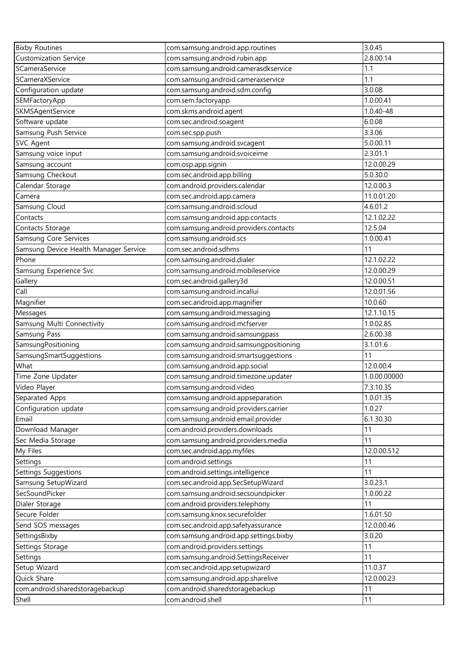| <b>Bixby Routines</b>                 | com.samsung.android.app.routines       | 3.0.45       |
|---------------------------------------|----------------------------------------|--------------|
| <b>Customization Service</b>          | com.samsung.android.rubin.app          | 2.8.00.14    |
| SCameraService                        | com.samsung.android.camerasdkservice   | 1.1          |
| SCameraXService                       | com.samsung.android.cameraxservice     | 1.1          |
| Configuration update                  | com.samsung.android.sdm.config         | 3.0.08       |
| SEMFactoryApp                         | com.sem.factoryapp                     | 1.0.00.41    |
| SKMSAgentService                      | com.skms.android.agent                 | 1.0.40-48    |
| Software update                       | com.sec.android.soagent                | 6.0.08       |
| Samsung Push Service                  | com.sec.spp.push                       | 3.3.06       |
| <b>SVC Agent</b>                      | com.samsung.android.svcagent           | 5.0.00.11    |
| Samsung voice input                   | com.samsung.android.svoiceime          | 2.3.01.1     |
| Samsung account                       | com.osp.app.signin                     | 12.0.00.29   |
| Samsung Checkout                      | com.sec.android.app.billing            | 5.0.30.0     |
| Calendar Storage                      | com.android.providers.calendar         | 12.0.00.3    |
| Camera                                | com.sec.android.app.camera             | 11.0.01.20   |
| Samsung Cloud                         | com.samsung.android.scloud             | 4.6.01.2     |
| Contacts                              | com.samsung.android.app.contacts       | 12.1.02.22   |
| Contacts Storage                      | com.samsung.android.providers.contacts | 12.5.04      |
| Samsung Core Services                 | com.samsung.android.scs                | 1.0.00.41    |
| Samsung Device Health Manager Service | com.sec.android.sdhms                  | 11           |
| Phone                                 | com.samsung.android.dialer             | 12.1.02.22   |
| Samsung Experience Svc                | com.samsung.android.mobileservice      | 12.0.00.29   |
| Gallery                               | com.sec.android.gallery3d              | 12.0.00.51   |
| Call                                  | com.samsung.android.incallui           | 12.0.01.56   |
| Magnifier                             | com.sec.android.app.magnifier          | 10.0.60      |
| Messages                              | com.samsung.android.messaging          | 12.1.10.15   |
| Samsung Multi Connectivity            | com.samsung.android.mcfserver          | 1.0.02.85    |
| Samsung Pass                          | com.samsung.android.samsungpass        | 2.6.00.38    |
| SamsungPositioning                    | com.samsung.android.samsungpositioning | 3.1.01.6     |
| SamsungSmartSuggestions               | com.samsung.android.smartsuggestions   | 11           |
| What                                  | com.samsung.android.app.social         | 12.0.00.4    |
| Time Zone Updater                     | com.samsung.android.timezone.updater   | 1.0.00.00000 |
| Video Player                          | com.samsung.android.video              | 7.3.10.35    |
| Separated Apps                        | com.samsung.android.appseparation      | 1.0.01.35    |
| Configuration update                  | com.samsung.android.providers.carrier  | 1.0.27       |
| Email                                 | com.samsung.android.email.provider     | 6.1.30.30    |
| Download Manager                      | com.android.providers.downloads        | 11           |
| Sec Media Storage                     | com.samsung.android.providers.media    | 11           |
| My Files                              | com.sec.android.app.myfiles            | 12.0.00.512  |
| Settings                              | com.android.settings                   | 11           |
| Settings Suggestions                  | com.android.settings.intelligence      | 11           |
| Samsung SetupWizard                   | com.sec.android.app.SecSetupWizard     | 3.0.23.1     |
| SecSoundPicker                        | com.samsung.android.secsoundpicker     | 1.0.00.22    |
| Dialer Storage                        | com.android.providers.telephony        | 11           |
| Secure Folder                         | com.samsung.knox.securefolder          | 1.6.01.50    |
| Send SOS messages                     | com.sec.android.app.safetyassurance    | 12.0.00.46   |
| SettingsBixby                         | com.samsung.android.app.settings.bixby | 3.0.20       |
| Settings Storage                      | com.android.providers.settings         | 11           |
| Settings                              | com.samsung.android.SettingsReceiver   | 11           |
| Setup Wizard                          | com.sec.android.app.setupwizard        | 11.0.37      |
| Quick Share                           | com.samsung.android.app.sharelive      | 12.0.00.23   |
| com.android.sharedstoragebackup       | com.android.sharedstoragebackup        | 11           |
| Shell                                 | com.android.shell                      | 11           |
|                                       |                                        |              |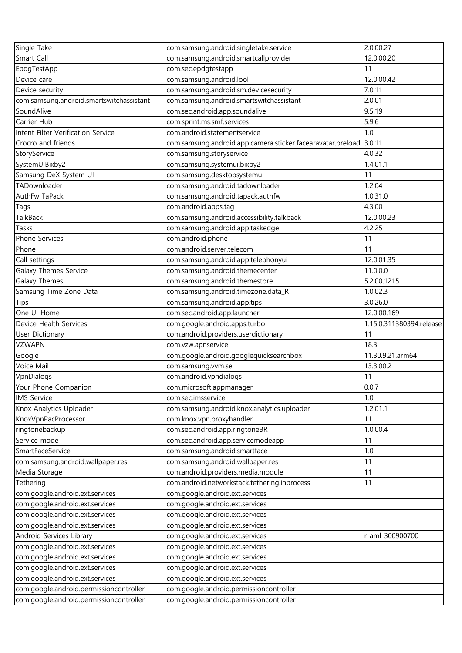| Single Take                              | com.samsung.android.singletake.service                      | 2.0.00.27                |
|------------------------------------------|-------------------------------------------------------------|--------------------------|
| Smart Call                               | com.samsung.android.smartcallprovider                       | 12.0.00.20               |
| EpdgTestApp                              | com.sec.epdgtestapp                                         | 11                       |
| Device care                              | com.samsung.android.lool                                    | 12.0.00.42               |
| Device security                          | com.samsung.android.sm.devicesecurity                       | 7.0.11                   |
| com.samsung.android.smartswitchassistant | com.samsung.android.smartswitchassistant                    | 2.0.01                   |
| SoundAlive                               | com.sec.android.app.soundalive                              | 9.5.19                   |
| Carrier Hub                              | com.sprint.ms.smf.services                                  | 5.9.6                    |
| Intent Filter Verification Service       | com.android.statementservice                                | 1.0                      |
| Crocro and friends                       | com.samsung.android.app.camera.sticker.facearavatar.preload | 3.0.11                   |
| StoryService                             | com.samsung.storyservice                                    | 4.0.32                   |
| SystemUIBixby2                           | com.samsung.systemui.bixby2                                 | 1.4.01.1                 |
| Samsung DeX System UI                    | com.samsung.desktopsystemui                                 | 11                       |
| TADownloader                             | com.samsung.android.tadownloader                            | 1.2.04                   |
| AuthFw TaPack                            | com.samsung.android.tapack.authfw                           | 1.0.31.0                 |
| Tags                                     | com.android.apps.tag                                        | 4.3.00                   |
| TalkBack                                 | com.samsung.android.accessibility.talkback                  | 12.0.00.23               |
| Tasks                                    | com.samsung.android.app.taskedge                            | 4.2.25                   |
| Phone Services                           | com.android.phone                                           | 11                       |
| Phone                                    | com.android.server.telecom                                  | 11                       |
| Call settings                            | com.samsung.android.app.telephonyui                         | 12.0.01.35               |
| Galaxy Themes Service                    | com.samsung.android.themecenter                             | 11.0.0.0                 |
| Galaxy Themes                            | com.samsung.android.themestore                              | 5.2.00.1215              |
| Samsung Time Zone Data                   | com.samsung.android.timezone.data_R                         | 1.0.02.3                 |
| Tips                                     | com.samsung.android.app.tips                                | 3.0.26.0                 |
| One UI Home                              | com.sec.android.app.launcher                                | 12.0.00.169              |
| Device Health Services                   | com.google.android.apps.turbo                               | 1.15.0.311380394.release |
| User Dictionary                          | com.android.providers.userdictionary                        | 11                       |
| <b>VZWAPN</b>                            | com.vzw.apnservice                                          | 18.3                     |
| Google                                   | com.google.android.googlequicksearchbox                     | 11.30.9.21.arm64         |
| Voice Mail                               | com.samsung.vvm.se                                          | 13.3.00.2                |
| VpnDialogs                               | com.android.vpndialogs                                      | 11                       |
| Your Phone Companion                     | com.microsoft.appmanager                                    | 0.0.7                    |
| <b>IMS Service</b>                       | com.sec.imsservice                                          | 1.0                      |
| Knox Analytics Uploader                  | com.samsung.android.knox.analytics.uploader                 | 1.2.01.1                 |
| KnoxVpnPacProcessor                      | com.knox.vpn.proxyhandler                                   | 11                       |
| ringtonebackup                           | com.sec.android.app.ringtoneBR                              | 1.0.00.4                 |
| Service mode                             | com.sec.android.app.servicemodeapp                          | 11                       |
| SmartFaceService                         | com.samsung.android.smartface                               | 1.0                      |
| com.samsung.android.wallpaper.res        | com.samsung.android.wallpaper.res                           | 11                       |
| Media Storage                            | com.android.providers.media.module                          | 11                       |
| Tethering                                | com.android.networkstack.tethering.inprocess                | 11                       |
| com.google.android.ext.services          | com.google.android.ext.services                             |                          |
| com.google.android.ext.services          | com.google.android.ext.services                             |                          |
| com.google.android.ext.services          | com.google.android.ext.services                             |                          |
| com.google.android.ext.services          | com.google.android.ext.services                             |                          |
| Android Services Library                 | com.google.android.ext.services                             | r_aml_300900700          |
| com.google.android.ext.services          | com.google.android.ext.services                             |                          |
| com.google.android.ext.services          | com.google.android.ext.services                             |                          |
| com.google.android.ext.services          | com.google.android.ext.services                             |                          |
| com.google.android.ext.services          | com.google.android.ext.services                             |                          |
| com.google.android.permissioncontroller  | com.google.android.permissioncontroller                     |                          |
| com.google.android.permissioncontroller  | com.google.android.permissioncontroller                     |                          |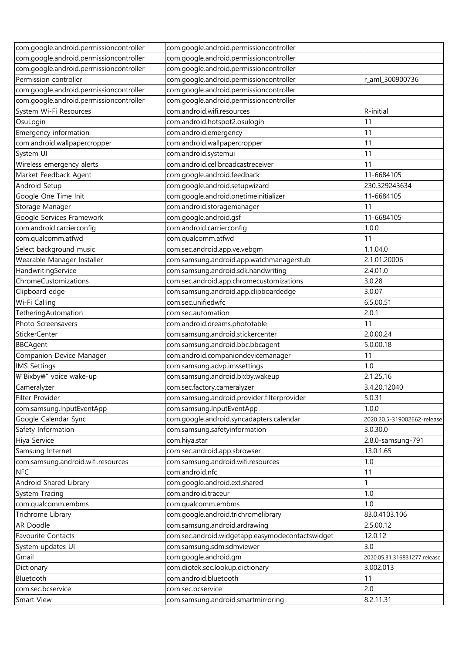| com.google.android.permissioncontroller | com.google.android.permissioncontroller          |                              |
|-----------------------------------------|--------------------------------------------------|------------------------------|
| com.google.android.permissioncontroller | com.google.android.permissioncontroller          |                              |
| com.google.android.permissioncontroller | com.google.android.permissioncontroller          |                              |
| Permission controller                   | com.google.android.permissioncontroller          | r_aml_300900736              |
| com.google.android.permissioncontroller | com.google.android.permissioncontroller          |                              |
| com.google.android.permissioncontroller | com.google.android.permissioncontroller          |                              |
| System Wi-Fi Resources                  | com.android.wifi.resources                       | R-initial                    |
| OsuLogin                                | com.android.hotspot2.osulogin                    | 11                           |
| Emergency information                   | com.android.emergency                            | 11                           |
| com.android.wallpapercropper            | com.android.wallpapercropper                     | 11                           |
| System UI                               | com.android.systemui                             | 11                           |
| Wireless emergency alerts               | com.android.cellbroadcastreceiver                | 11                           |
| Market Feedback Agent                   | com.google.android.feedback                      | 11-6684105                   |
| Android Setup                           | com.google.android.setupwizard                   | 230.329243634                |
| Google One Time Init                    | com.google.android.onetimeinitializer            | 11-6684105                   |
| Storage Manager                         | com.android.storagemanager                       | 11                           |
| Google Services Framework               | com.google.android.gsf                           | 11-6684105                   |
| com.android.carrierconfig               | com.android.carrierconfig                        | 1.0.0                        |
| com.qualcomm.atfwd                      | com.qualcomm.atfwd                               | 11                           |
| Select background music                 | com.sec.android.app.ve.vebgm                     | 1.1.04.0                     |
| Wearable Manager Installer              | com.samsung.android.app.watchmanagerstub         | 2.1.01.20006                 |
| HandwritingService                      | com.samsung.android.sdk.handwriting              | 2.4.01.0                     |
| ChromeCustomizations                    | com.sec.android.app.chromecustomizations         | 3.0.28                       |
| Clipboard edge                          | com.samsung.android.app.clipboardedge            | 3.0.07                       |
| Wi-Fi Calling                           | com.sec.unifiedwfc                               | 6.5.00.51                    |
| TetheringAutomation                     | com.sec.automation                               | 2.0.1                        |
| Photo Screensavers                      | com.android.dreams.phototable                    | 11                           |
| <b>StickerCenter</b>                    | com.samsung.android.stickercenter                | 2.0.00.24                    |
| <b>BBCAgent</b>                         | com.samsung.android.bbc.bbcagent                 | 5.0.00.18                    |
| Companion Device Manager                | com.android.companiondevicemanager               | 11                           |
| <b>IMS Settings</b>                     | com.samsung.advp.imssettings                     | 1.0                          |
| ₩"Bixby₩" voice wake-up                 | com.samsung.android.bixby.wakeup                 | 2.1.25.16                    |
| Cameralyzer                             | com.sec.factory.cameralyzer                      | 3.4.20.12040                 |
| Filter Provider                         | com.samsung.android.provider.filterprovider      | 5.0.31                       |
| com.samsung.InputEventApp               | com.samsung.InputEventApp                        | 1.0.0                        |
| Google Calendar Sync                    | com.google.android.syncadapters.calendar         | 2020.20.5-319002662-release  |
| Safety Information                      | com.samsung.safetyinformation                    | 3.0.30.0                     |
| Hiya Service                            | com.hiya.star                                    | 2.8.0-samsung-791            |
| Samsung Internet                        | com.sec.android.app.sbrowser                     | 13.0.1.65                    |
| com.samsung.android.wifi.resources      | com.samsung.android.wifi.resources               | 1.0                          |
| <b>NFC</b>                              | com.android.nfc                                  | 11                           |
| Android Shared Library                  | com.google.android.ext.shared                    | 1                            |
| System Tracing                          | com.android.traceur                              | 1.0                          |
| com.qualcomm.embms                      | com.qualcomm.embms                               | 1.0                          |
| Trichrome Library                       | com.google.android.trichromelibrary              | 83.0.4103.106                |
| AR Doodle                               | com.samsung.android.ardrawing                    | 2.5.00.12                    |
| Favourite Contacts                      | com.sec.android.widgetapp.easymodecontactswidget | 12.0.12                      |
| System updates UI                       | com.samsung.sdm.sdmviewer                        | 3.0                          |
| Gmail                                   | com.google.android.gm                            | 2020.05.31.316831277.release |
| Dictionary                              | com.diotek.sec.lookup.dictionary                 | 3.002.013                    |
| Bluetooth                               | com.android.bluetooth                            | 11                           |
| com.sec.bcservice                       | com.sec.bcservice                                | 2.0                          |
| Smart View                              | com.samsung.android.smartmirroring               | 8.2.11.31                    |
|                                         |                                                  |                              |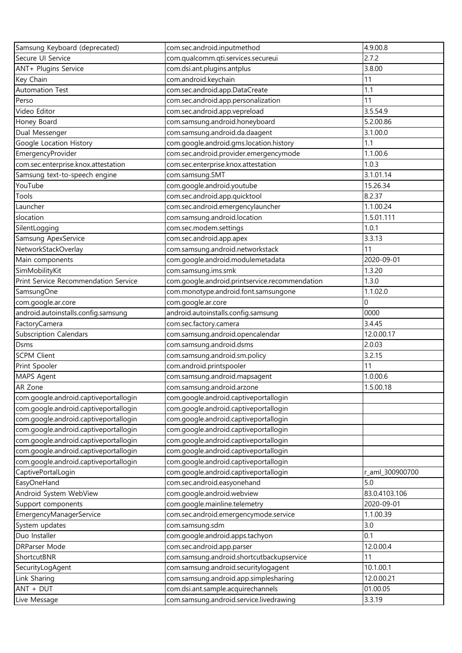| Samsung Keyboard (deprecated)         | com.sec.android.inputmethod                    | 4.9.00.8        |
|---------------------------------------|------------------------------------------------|-----------------|
| Secure UI Service                     | com.qualcomm.qti.services.secureui             | 2.7.2           |
| ANT+ Plugins Service                  | com.dsi.ant.plugins.antplus                    | 3.8.00          |
| Key Chain                             | com.android.keychain                           | 11              |
| <b>Automation Test</b>                | com.sec.android.app.DataCreate                 | 1.1             |
| Perso                                 | com.sec.android.app.personalization            | 11              |
| Video Editor                          | com.sec.android.app.vepreload                  | 3.5.54.9        |
| Honey Board                           | com.samsung.android.honeyboard                 | 5.2.00.86       |
| Dual Messenger                        | com.samsung.android.da.daagent                 | 3.1.00.0        |
| Google Location History               | com.google.android.gms.location.history        | 1.1             |
| EmergencyProvider                     | com.sec.android.provider.emergencymode         | 1.1.00.6        |
| com.sec.enterprise.knox.attestation   | com.sec.enterprise.knox.attestation            | 1.0.3           |
| Samsung text-to-speech engine         | com.samsung.SMT                                | 3.1.01.14       |
| YouTube                               | com.google.android.youtube                     | 15.26.34        |
| Tools                                 | com.sec.android.app.quicktool                  | 8.2.37          |
| Launcher                              | com.sec.android.emergencylauncher              | 1.1.00.24       |
| slocation                             | com.samsung.android.location                   | 1.5.01.111      |
| SilentLogging                         | com.sec.modem.settings                         | 1.0.1           |
| Samsung ApexService                   | com.sec.android.app.apex                       | 3.3.13          |
| NetworkStackOverlay                   | com.samsung.android.networkstack               | 11              |
| Main components                       | com.google.android.modulemetadata              | 2020-09-01      |
| SimMobilityKit                        | com.samsung.ims.smk                            | 1.3.20          |
| Print Service Recommendation Service  | com.google.android.printservice.recommendation | 1.3.0           |
| SamsungOne                            | com.monotype.android.font.samsungone           | 1.1.02.0        |
| com.google.ar.core                    | com.google.ar.core                             | 0               |
| android.autoinstalls.config.samsung   | android.autoinstalls.config.samsung            | 0000            |
| FactoryCamera                         | com.sec.factory.camera                         | 3.4.45          |
| <b>Subscription Calendars</b>         | com.samsung.android.opencalendar               | 12.0.00.17      |
| <b>Dsms</b>                           | com.samsung.android.dsms                       | 2.0.03          |
| <b>SCPM Client</b>                    | com.samsung.android.sm.policy                  | 3.2.15          |
| Print Spooler                         | com.android.printspooler                       | 11              |
| MAPS Agent                            | com.samsung.android.mapsagent                  | 1.0.00.6        |
| AR Zone                               | com.samsung.android.arzone                     | 1.5.00.18       |
| com.google.android.captiveportallogin | com.google.android.captiveportallogin          |                 |
| com.google.android.captiveportallogin | com.google.android.captiveportallogin          |                 |
| com.google.android.captiveportallogin | com.google.android.captiveportallogin          |                 |
| com.google.android.captiveportallogin | com.google.android.captiveportallogin          |                 |
| com.google.android.captiveportallogin | com.google.android.captiveportallogin          |                 |
| com.google.android.captiveportallogin | com.google.android.captiveportallogin          |                 |
| com.google.android.captiveportallogin | com.google.android.captiveportallogin          |                 |
| CaptivePortalLogin                    | com.google.android.captiveportallogin          | r_aml_300900700 |
| EasyOneHand                           | com.sec.android.easyonehand                    | 5.0             |
|                                       |                                                |                 |
| Android System WebView                | com.google.android.webview                     | 83.0.4103.106   |
| Support components                    | com.google.mainline.telemetry                  | 2020-09-01      |
| EmergencyManagerService               | com.sec.android.emergencymode.service          | 1.1.00.39       |
| System updates                        | com.samsung.sdm                                | 3.0             |
| Duo Installer                         | com.google.android.apps.tachyon                | 0.1             |
| DRParser Mode                         | com.sec.android.app.parser                     | 12.0.00.4       |
| ShortcutBNR                           | com.samsung.android.shortcutbackupservice      | 11              |
| SecurityLogAgent                      | com.samsung.android.securitylogagent           | 10.1.00.1       |
| Link Sharing                          | com.samsung.android.app.simplesharing          | 12.0.00.21      |
| ANT + DUT                             | com.dsi.ant.sample.acquirechannels             | 01.00.05        |
| Live Message                          | com.samsung.android.service.livedrawing        | 3.3.19          |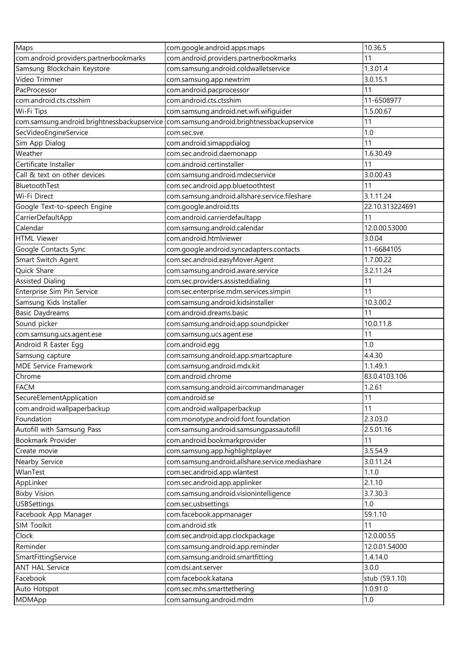| Maps                                        | com.google.android.apps.maps                    | 10.36.5         |
|---------------------------------------------|-------------------------------------------------|-----------------|
| com.android.providers.partnerbookmarks      | com.android.providers.partnerbookmarks          | 11              |
| Samsung Blockchain Keystore                 | com.samsung.android.coldwalletservice           | 1.3.01.4        |
| Video Trimmer                               | com.samsung.app.newtrim                         | 3.0.15.1        |
| PacProcessor                                | com.android.pacprocessor                        | 11              |
|                                             |                                                 |                 |
| com.android.cts.ctsshim                     | com.android.cts.ctsshim                         | 11-6508977      |
| Wi-Fi Tips                                  | com.samsung.android.net.wifi.wifiguider         | 1.5.00.67       |
| com.samsung.android.brightnessbackupservice | com.samsung.android.brightnessbackupservice     | 11              |
| SecVideoEngineService                       | com.sec.sve                                     | 1.0             |
| Sim App Dialog                              | com.android.simappdialog                        | 11              |
| Weather                                     | com.sec.android.daemonapp                       | 1.6.30.49       |
| Certificate Installer                       | com.android.certinstaller                       | 11              |
| Call & text on other devices                | com.samsung.android.mdecservice                 | 3.0.00.43       |
| BluetoothTest                               | com.sec.android.app.bluetoothtest               | 11              |
| Wi-Fi Direct                                | com.samsung.android.allshare.service.fileshare  | 3.1.11.24       |
| Google Text-to-speech Engine                | com.google.android.tts                          | 22.10.313224691 |
| CarrierDefaultApp                           | com.android.carrierdefaultapp                   | 11              |
| Calendar                                    | com.samsung.android.calendar                    | 12.0.00.53000   |
| <b>HTML Viewer</b>                          | com.android.htmlviewer                          | 3.0.04          |
| Google Contacts Sync                        | com.google.android.syncadapters.contacts        | 11-6684105      |
| Smart Switch Agent                          | com.sec.android.easyMover.Agent                 | 1.7.00.22       |
| Quick Share                                 | com.samsung.android.aware.service               | 3.2.11.24       |
| <b>Assisted Dialing</b>                     | com.sec.providers.assisteddialing               | 11              |
| Enterprise Sim Pin Service                  | com.sec.enterprise.mdm.services.simpin          | 11              |
| Samsung Kids Installer                      | com.samsung.android.kidsinstaller               | 10.3.00.2       |
| <b>Basic Daydreams</b>                      | com.android.dreams.basic                        | 11              |
| Sound picker                                | com.samsung.android.app.soundpicker             | 10.0.11.8       |
| com.samsung.ucs.agent.ese                   | com.samsung.ucs.agent.ese                       | 11              |
| Android R Easter Egg                        | com.android.egg                                 | 1.0             |
| Samsung capture                             | com.samsung.android.app.smartcapture            | 4.4.30          |
| MDE Service Framework                       | com.samsung.android.mdx.kit                     | 1.1.49.1        |
| Chrome                                      | com.android.chrome                              | 83.0.4103.106   |
| <b>FACM</b>                                 | com.samsung.android.aircommandmanager           | 1.2.61          |
| SecureElementApplication                    | com.android.se                                  | 11              |
| com.android.wallpaperbackup                 | com.android.wallpaperbackup                     | 11              |
|                                             |                                                 | 2.3.03.0        |
| Foundation                                  | com.monotype.android.font.foundation            |                 |
| Autofill with Samsung Pass                  | com.samsung.android.samsungpassautofill         | 2.5.01.16       |
| Bookmark Provider                           | com.android.bookmarkprovider                    | 11              |
| Create movie                                | com.samsung.app.highlightplayer                 | 3.5.54.9        |
| Nearby Service                              | com.samsung.android.allshare.service.mediashare | 3.0.11.24       |
| WlanTest                                    | com.sec.android.app.wlantest                    | 1.1.0           |
| AppLinker                                   | com.sec.android.app.applinker                   | 2.1.10          |
| <b>Bixby Vision</b>                         | com.samsung.android.visionintelligence          | 3.7.30.3        |
| <b>USBSettings</b>                          | com.sec.usbsettings                             | 1.0             |
| Facebook App Manager                        | com.facebook.appmanager                         | 59.1.10         |
| SIM Toolkit                                 | com.android.stk                                 | 11              |
| Clock                                       | com.sec.android.app.clockpackage                | 12.0.00.55      |
| Reminder                                    | com.samsung.android.app.reminder                | 12.0.01.54000   |
| SmartFittingService                         | com.samsung.android.smartfitting                | 1.4.14.0        |
| <b>ANT HAL Service</b>                      | com.dsi.ant.server                              | 3.0.0           |
| Facebook                                    | com.facebook.katana                             | stub (59.1.10)  |
| Auto Hotspot                                | com.sec.mhs.smarttethering                      | 1.0.91.0        |
| MDMApp                                      | com.samsung.android.mdm                         | $1.0\,$         |
|                                             |                                                 |                 |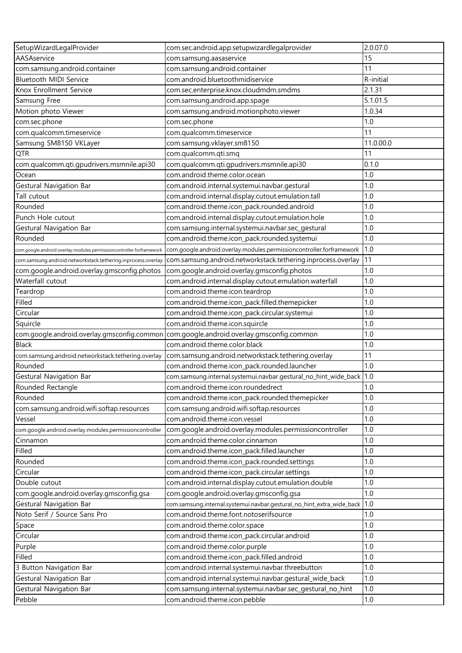| SetupWizardLegalProvider                                             | com.sec.android.app.setupwizardlegalprovider                          | 2.0.07.0  |
|----------------------------------------------------------------------|-----------------------------------------------------------------------|-----------|
| AASAservice                                                          | com.samsung.aasaservice                                               | 15        |
| com.samsung.android.container                                        | com.samsung.android.container                                         | 11        |
| Bluetooth MIDI Service                                               | com.android.bluetoothmidiservice                                      | R-initial |
| Knox Enrollment Service                                              | com.sec.enterprise.knox.cloudmdm.smdms                                | 2.1.31    |
| Samsung Free                                                         | com.samsung.android.app.spage                                         | 5.1.01.5  |
| Motion photo Viewer                                                  | com.samsung.android.motionphoto.viewer                                | 1.0.34    |
| com.sec.phone                                                        | com.sec.phone                                                         | 1.0       |
| com.qualcomm.timeservice                                             | com.qualcomm.timeservice                                              | 11        |
| Samsung SM8150 VKLayer                                               | com.samsung.vklayer.sm8150                                            | 11.0.00.0 |
| QTR                                                                  | com.qualcomm.qti.smq                                                  | 11        |
| com.qualcomm.qti.gpudrivers.msmnile.api30                            | com.qualcomm.qti.gpudrivers.msmnile.api30                             | 0.1.0     |
| Ocean                                                                | com.android.theme.color.ocean                                         | 1.0       |
| Gestural Navigation Bar                                              | com.android.internal.systemui.navbar.gestural                         | 1.0       |
| Tall cutout                                                          | com.android.internal.display.cutout.emulation.tall                    | 1.0       |
| Rounded                                                              | com.android.theme.icon_pack.rounded.android                           | 1.0       |
| Punch Hole cutout                                                    | com.android.internal.display.cutout.emulation.hole                    | 1.0       |
| Gestural Navigation Bar                                              | com.samsung.internal.systemui.navbar.sec_gestural                     | 1.0       |
| Rounded                                                              | com.android.theme.icon_pack.rounded.systemui                          | 1.0       |
| com.google.android.overlay.modules.permissioncontroller.forframework | com.google.android.overlay.modules.permissioncontroller.forframework  | 1.0       |
| com.samsung.android.networkstack.tethering.inprocess.overlay         | com.samsung.android.networkstack.tethering.inprocess.overlay          | 11        |
| com.google.android.overlay.gmsconfig.photos                          | com.google.android.overlay.gmsconfig.photos                           | 1.0       |
| Waterfall cutout                                                     | com.android.internal.display.cutout.emulation.waterfall               | 1.0       |
| Teardrop                                                             | com.android.theme.icon.teardrop                                       | 1.0       |
| Filled                                                               | com.android.theme.icon_pack.filled.themepicker                        | 1.0       |
| Circular                                                             | com.android.theme.icon_pack.circular.systemui                         | 1.0       |
| Squircle                                                             | com.android.theme.icon.squircle                                       | 1.0       |
| com.google.android.overlay.gmsconfig.common                          | com.google.android.overlay.gmsconfig.common                           | 1.0       |
| <b>Black</b>                                                         | com.android.theme.color.black                                         | 1.0       |
| com.samsung.android.networkstack.tethering.overlay                   | com.samsung.android.networkstack.tethering.overlay                    | 11        |
| Rounded                                                              | com.android.theme.icon_pack.rounded.launcher                          | 1.0       |
| Gestural Navigation Bar                                              | com.samsung.internal.systemui.navbar.gestural_no_hint_wide_back       | 1.0       |
| Rounded Rectangle                                                    | com.android.theme.icon.roundedrect                                    | 1.0       |
| Rounded                                                              | com.android.theme.icon_pack.rounded.themepicker                       | 1.0       |
| com.samsung.android.wifi.softap.resources                            | com.samsung.android.wifi.softap.resources                             | 1.0       |
| Vessel                                                               | com.android.theme.icon.vessel                                         | 1.0       |
| com.google.android.overlay.modules.permissioncontroller              | com.google.android.overlay.modules.permissioncontroller               | 1.0       |
| Cinnamon                                                             | com.android.theme.color.cinnamon                                      | 1.0       |
| Filled                                                               | com.android.theme.icon_pack.filled.launcher                           | 1.0       |
| Rounded                                                              | com.android.theme.icon_pack.rounded.settings                          | 1.0       |
| Circular                                                             | com.android.theme.icon_pack.circular.settings                         | 1.0       |
| Double cutout                                                        | com.android.internal.display.cutout.emulation.double                  | 1.0       |
| com.google.android.overlay.gmsconfig.gsa                             | com.google.android.overlay.gmsconfig.gsa                              | 1.0       |
| Gestural Navigation Bar                                              | com.samsung.internal.systemui.navbar.gestural_no_hint_extra_wide_back | 1.0       |
| Noto Serif / Source Sans Pro                                         | com.android.theme.font.notoserifsource                                | 1.0       |
| Space                                                                | com.android.theme.color.space                                         | 1.0       |
| Circular                                                             | com.android.theme.icon_pack.circular.android                          | 1.0       |
| Purple                                                               | com.android.theme.color.purple                                        | 1.0       |
| Filled                                                               | com.android.theme.icon_pack.filled.android                            | 1.0       |
| 3 Button Navigation Bar                                              | com.android.internal.systemui.navbar.threebutton                      | 1.0       |
| Gestural Navigation Bar                                              | com.android.internal.systemui.navbar.gestural_wide_back               | 1.0       |
| Gestural Navigation Bar                                              | com.samsung.internal.systemui.navbar.sec_gestural_no_hint             | 1.0       |
| Pebble                                                               | com.android.theme.icon.pebble                                         | 1.0       |
|                                                                      |                                                                       |           |